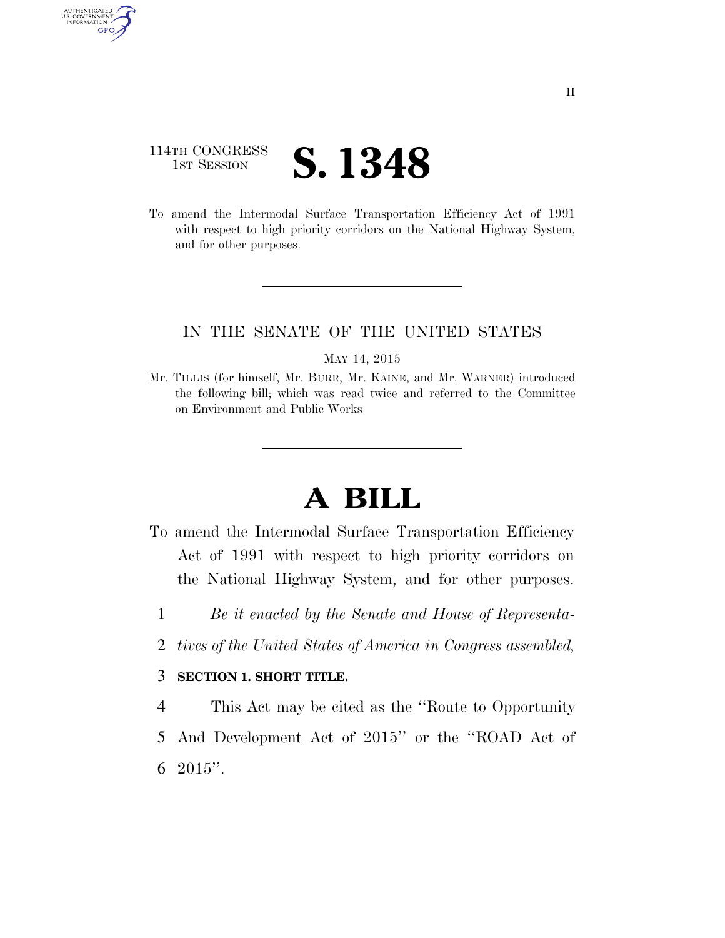## 114TH CONGRESS **IST SESSION S. 1348**

AUTHENTICATED<br>U.S. GOVERNMENT<br>INFORMATION GPO

> To amend the Intermodal Surface Transportation Efficiency Act of 1991 with respect to high priority corridors on the National Highway System, and for other purposes.

## IN THE SENATE OF THE UNITED STATES

MAY 14, 2015

Mr. TILLIS (for himself, Mr. BURR, Mr. KAINE, and Mr. WARNER) introduced the following bill; which was read twice and referred to the Committee on Environment and Public Works

## **A BILL**

- To amend the Intermodal Surface Transportation Efficiency Act of 1991 with respect to high priority corridors on the National Highway System, and for other purposes.
	- 1 *Be it enacted by the Senate and House of Representa-*
	- 2 *tives of the United States of America in Congress assembled,*

## 3 **SECTION 1. SHORT TITLE.**

4 This Act may be cited as the ''Route to Opportunity 5 And Development Act of 2015'' or the ''ROAD Act of 6 2015''.